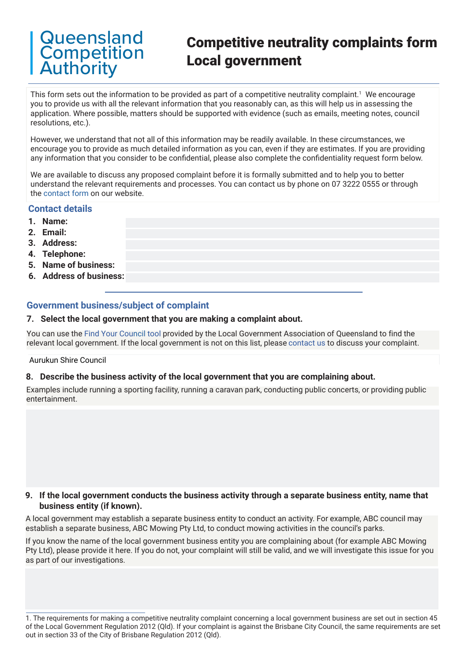# **Queensland** Competition Authority

# Competitive neutrality complaints form Local government

This form sets out the information to be provided as part of a competitive neutrality complaint. $^1$  We encourage you to provide us with all the relevant information that you reasonably can, as this will help us in assessing the application. Where possible, matters should be supported with evidence (such as emails, meeting notes, council resolutions, etc.).

However, we understand that not all of this information may be readily available. In these circumstances, we encourage you to provide as much detailed information as you can, even if they are estimates. If you are providing any information that you consider to be confidential, please also complete the confidentiality request form below.

We are available to discuss any proposed complaint before it is formally submitted and to help you to better understand the relevant requirements and processes. You can contact us by phone on 07 3222 0555 or through the [contact form](https://www.qca.org.au/contact/) on our website.

### **Contact details**

- **1. Name:**
- **2. Email:**
- **3. Address:**
- **4. Telephone:**
- **5. Name of business:**
- **6. Address of business:**

## **Government business/subject of complaint**

### **7. Select the local government that you are making a complaint about.**

You can use the [Find Your Council tool](https://www.lgaq.asn.au/find-council) provided by the Local Government Association of Queensland to find the relevant local government. If the local government is not on this list, please [contact us](https://www.qca.org.au/contact/) to discuss your complaint.

#### Aurukun Shire Council

#### **8. Describe the business activity of the local government that you are complaining about.**

Examples include running a sporting facility, running a caravan park, conducting public concerts, or providing public entertainment.

#### **9. If the local government conducts the business activity through a separate business entity, name that business entity (if known).**

A local government may establish a separate business entity to conduct an activity. For example, ABC council may establish a separate business, ABC Mowing Pty Ltd, to conduct mowing activities in the council's parks.

If you know the name of the local government business entity you are complaining about (for example ABC Mowing Pty Ltd), please provide it here. If you do not, your complaint will still be valid, and we will investigate this issue for you as part of our investigations.

1. The requirements for making a competitive neutrality complaint concerning a local government business are set out in section 45 of the Local Government Regulation 2012 (Qld). If your complaint is against the Brisbane City Council, the same requirements are set out in section 33 of the City of Brisbane Regulation 2012 (Qld).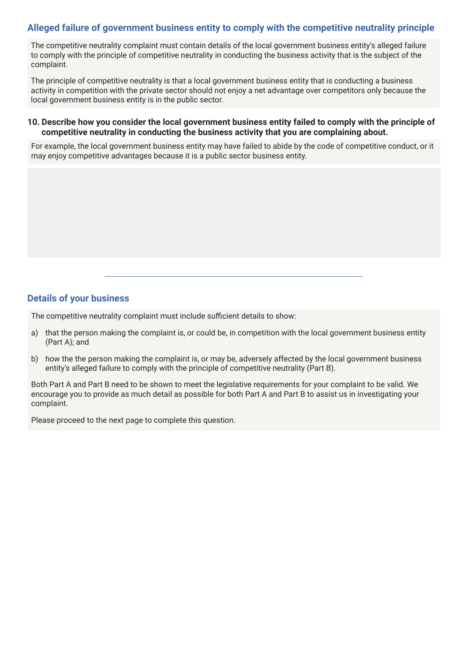## **Alleged failure of government business entity to comply with the competitive neutrality principle**

The competitive neutrality complaint must contain details of the local government business entity's alleged failure to comply with the principle of competitive neutrality in conducting the business activity that is the subject of the complaint.

The principle of competitive neutrality is that a local government business entity that is conducting a business activity in competition with the private sector should not enjoy a net advantage over competitors only because the local government business entity is in the public sector.

### **10. Describe how you consider the local government business entity failed to comply with the principle of competitive neutrality in conducting the business activity that you are complaining about.**

For example, the local government business entity may have failed to abide by the code of competitive conduct, or it may enjoy competitive advantages because it is a public sector business entity.

## **Details of your business**

The competitive neutrality complaint must include sufficient details to show:

- a) that the person making the complaint is, or could be, in competition with the local government business entity (Part A); and
- b) how the the person making the complaint is, or may be, adversely affected by the local government business entity's alleged failure to comply with the principle of competitive neutrality (Part B).

Both Part A and Part B need to be shown to meet the legislative requirements for your complaint to be valid. We encourage you to provide as much detail as possible for both Part A and Part B to assist us in investigating your complaint.

Please proceed to the next page to complete this question.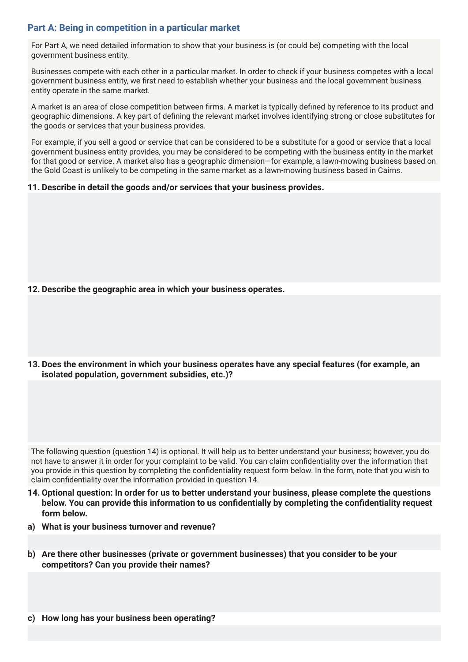## **Part A: Being in competition in a particular market**

For Part A, we need detailed information to show that your business is (or could be) competing with the local government business entity.

Businesses compete with each other in a particular market. In order to check if your business competes with a local government business entity, we first need to establish whether your business and the local government business entity operate in the same market.

A market is an area of close competition between firms. A market is typically defined by reference to its product and geographic dimensions. A key part of defining the relevant market involves identifying strong or close substitutes for the goods or services that your business provides.

For example, if you sell a good or service that can be considered to be a substitute for a good or service that a local government business entity provides, you may be considered to be competing with the business entity in the market for that good or service. A market also has a geographic dimension—for example, a lawn-mowing business based on the Gold Coast is unlikely to be competing in the same market as a lawn-mowing business based in Cairns.

### **11. Describe in detail the goods and/or services that your business provides.**

- **12. Describe the geographic area in which your business operates.**
- **13. Does the environment in which your business operates have any special features (for example, an isolated population, government subsidies, etc.)?**

The following question (question 14) is optional. It will help us to better understand your business; however, you do not have to answer it in order for your complaint to be valid. You can claim confidentiality over the information that you provide in this question by completing the confidentiality request form below. In the form, note that you wish to claim confidentiality over the information provided in question 14.

- **14. Optional question: In order for us to better understand your business, please complete the questions below. You can provide this information to us confidentially by completing the confidentiality request form below.**
- **a) What is your business turnover and revenue?**
- **b) Are there other businesses (private or government businesses) that you consider to be your competitors? Can you provide their names?**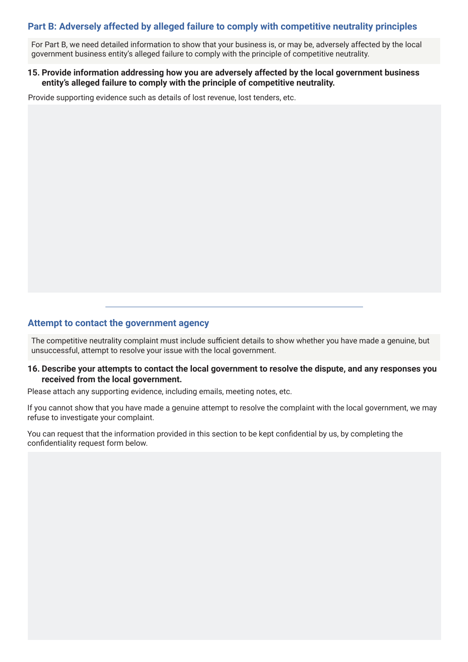## **Part B: Adversely affected by alleged failure to comply with competitive neutrality principles**

For Part B, we need detailed information to show that your business is, or may be, adversely affected by the local government business entity's alleged failure to comply with the principle of competitive neutrality.

### **15. Provide information addressing how you are adversely affected by the local government business entity's alleged failure to comply with the principle of competitive neutrality.**

Provide supporting evidence such as details of lost revenue, lost tenders, etc.

## **Attempt to contact the government agency**

The competitive neutrality complaint must include sufficient details to show whether you have made a genuine, but unsuccessful, attempt to resolve your issue with the local government.

#### **16. Describe your attempts to contact the local government to resolve the dispute, and any responses you received from the local government.**

Please attach any supporting evidence, including emails, meeting notes, etc.

If you cannot show that you have made a genuine attempt to resolve the complaint with the local government, we may refuse to investigate your complaint.

You can request that the information provided in this section to be kept confidential by us, by completing the confidentiality request form below.